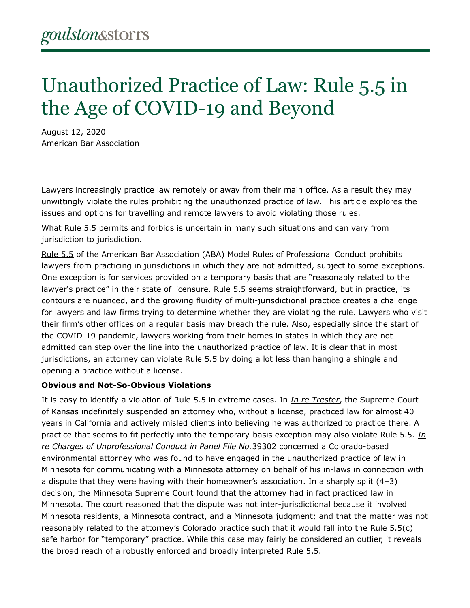# Unauthorized Practice of Law: Rule 5.5 in the Age of COVID-19 and Beyond

August 12, 2020 American Bar Association

Lawyers increasingly practice law remotely or away from their main office. As a result they may unwittingly violate the rules prohibiting the unauthorized practice of law. This article explores the issues and options for travelling and remote lawyers to avoid violating those rules.

What Rule 5.5 permits and forbids is uncertain in many such situations and can vary from jurisdiction to jurisdiction.

[Rule 5.5](https://www.americanbar.org/groups/professional_responsibility/publications/model_rules_of_professional_conduct/rule_5_5_unauthorized_practice_of_law_multijurisdictional_practice_of_law/) of the American Bar Association (ABA) Model Rules of Professional Conduct prohibits lawyers from practicing in jurisdictions in which they are not admitted, subject to some exceptions. One exception is for services provided on a temporary basis that are "reasonably related to the lawyer's practice" in their state of licensure. Rule 5.5 seems straightforward, but in practice, its contours are nuanced, and the growing fluidity of multi-jurisdictional practice creates a challenge for lawyers and law firms trying to determine whether they are violating the rule. Lawyers who visit their firm's other offices on a regular basis may breach the rule. Also, especially since the start of the COVID-19 pandemic, lawyers working from their homes in states in which they are not admitted can step over the line into the unauthorized practice of law. It is clear that in most jurisdictions, an attorney can violate Rule 5.5 by doing a lot less than hanging a shingle and opening a practice without a license.

## **Obvious and Not-So-Obvious Violations**

It is easy to identify a violation of Rule 5.5 in extreme cases. In *[In re Trester](https://www.courtlistener.com/opinion/2584121/in-re-trester/?)*, the Supreme Court of Kansas indefinitely suspended an attorney who, without a license, practiced law for almost 40 years in California and actively misled clients into believing he was authorized to practice there. A practice that seems to fit perfectly into the temporary-basis exception may also violate Rule 5.5. *[In](https://www.leagle.com/decision/inmnco20160831331)  [re Charges of Unprofessional Conduct in Panel File No.](https://www.leagle.com/decision/inmnco20160831331)*39302 concerned a Colorado-based environmental attorney who was found to have engaged in the unauthorized practice of law in Minnesota for communicating with a Minnesota attorney on behalf of his in-laws in connection with a dispute that they were having with their homeowner's association. In a sharply split (4–3) decision, the Minnesota Supreme Court found that the attorney had in fact practiced law in Minnesota. The court reasoned that the dispute was not inter-jurisdictional because it involved Minnesota residents, a Minnesota contract, and a Minnesota judgment; and that the matter was not reasonably related to the attorney's Colorado practice such that it would fall into the Rule 5.5(c) safe harbor for "temporary" practice. While this case may fairly be considered an outlier, it reveals the broad reach of a robustly enforced and broadly interpreted Rule 5.5.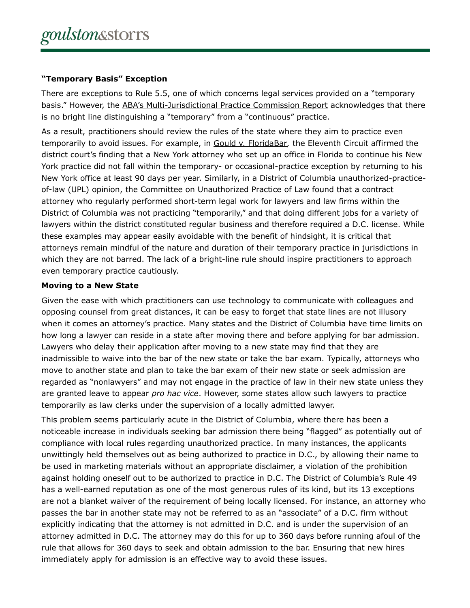# **"Temporary Basis" Exception**

There are exceptions to Rule 5.5, one of which concerns legal services provided on a "temporary basis." However, the [ABA's Multi-Jurisdictional Practice Commission Report](https://www.americanbar.org/groups/professional_responsibility/committees_commissions/commission-on-multijurisdictional-practice/) acknowledges that there is no bright line distinguishing a "temporary" from a "continuous" practice.

As a result, practitioners should review the rules of the state where they aim to practice even temporarily to avoid issues. For example, in [Gould v. FloridaBar](https://law.justia.com/cases/federal/appellate-courts/ca11/06-15142/200615142-2011-02-28.html)*,* the Eleventh Circuit affirmed the district court's finding that a New York attorney who set up an office in Florida to continue his New York practice did not fall within the temporary- or occasional-practice exception by returning to his New York office at least 90 days per year. Similarly, in a District of Columbia unauthorized-practiceof-law (UPL) opinion, the Committee on Unauthorized Practice of Law found that a contract attorney who regularly performed short-term legal work for lawyers and law firms within the District of Columbia was not practicing "temporarily," and that doing different jobs for a variety of lawyers within the district constituted regular business and therefore required a D.C. license. While these examples may appear easily avoidable with the benefit of hindsight, it is critical that attorneys remain mindful of the nature and duration of their temporary practice in jurisdictions in which they are not barred. The lack of a bright-line rule should inspire practitioners to approach even temporary practice cautiously.

# **Moving to a New State**

Given the ease with which practitioners can use technology to communicate with colleagues and opposing counsel from great distances, it can be easy to forget that state lines are not illusory when it comes an attorney's practice. Many states and the District of Columbia have time limits on how long a lawyer can reside in a state after moving there and before applying for bar admission. Lawyers who delay their application after moving to a new state may find that they are inadmissible to waive into the bar of the new state or take the bar exam. Typically, attorneys who move to another state and plan to take the bar exam of their new state or seek admission are regarded as "nonlawyers" and may not engage in the practice of law in their new state unless they are granted leave to appear *pro hac vice*. However, some states allow such lawyers to practice temporarily as law clerks under the supervision of a locally admitted lawyer.

This problem seems particularly acute in the District of Columbia, where there has been a noticeable increase in individuals seeking bar admission there being "flagged" as potentially out of compliance with local rules regarding unauthorized practice. In many instances, the applicants unwittingly held themselves out as being authorized to practice in D.C., by allowing their name to be used in marketing materials without an appropriate disclaimer, a violation of the prohibition against holding oneself out to be authorized to practice in D.C. The District of Columbia's Rule 49 has a well-earned reputation as one of the most generous rules of its kind, but its 13 exceptions are not a blanket waiver of the requirement of being locally licensed. For instance, an attorney who passes the bar in another state may not be referred to as an "associate" of a D.C. firm without explicitly indicating that the attorney is not admitted in D.C. and is under the supervision of an attorney admitted in D.C. The attorney may do this for up to 360 days before running afoul of the rule that allows for 360 days to seek and obtain admission to the bar. Ensuring that new hires immediately apply for admission is an effective way to avoid these issues.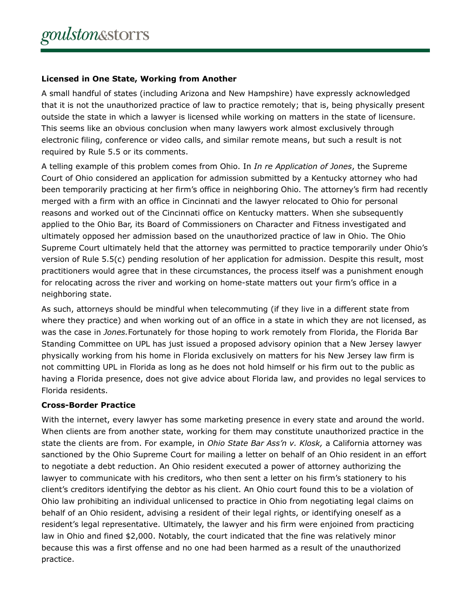# **Licensed in One State, Working from Another**

A small handful of states (including Arizona and New Hampshire) have expressly acknowledged that it is not the unauthorized practice of law to practice remotely; that is, being physically present outside the state in which a lawyer is licensed while working on matters in the state of licensure. This seems like an obvious conclusion when many lawyers work almost exclusively through electronic filing, conference or video calls, and similar remote means, but such a result is not required by Rule 5.5 or its comments.

A telling example of this problem comes from Ohio. In *In re Application of Jones*, the Supreme Court of Ohio considered an application for admission submitted by a Kentucky attorney who had been temporarily practicing at her firm's office in neighboring Ohio. The attorney's firm had recently merged with a firm with an office in Cincinnati and the lawyer relocated to Ohio for personal reasons and worked out of the Cincinnati office on Kentucky matters. When she subsequently applied to the Ohio Bar, its Board of Commissioners on Character and Fitness investigated and ultimately opposed her admission based on the unauthorized practice of law in Ohio. The Ohio Supreme Court ultimately held that the attorney was permitted to practice temporarily under Ohio's version of Rule 5.5(c) pending resolution of her application for admission. Despite this result, most practitioners would agree that in these circumstances, the process itself was a punishment enough for relocating across the river and working on home-state matters out your firm's office in a neighboring state.

As such, attorneys should be mindful when telecommuting (if they live in a different state from where they practice) and when working out of an office in a state in which they are not licensed, as was the case in *Jones.*Fortunately for those hoping to work remotely from Florida, the Florida Bar Standing Committee on UPL has just issued a proposed advisory opinion that a New Jersey lawyer physically working from his home in Florida exclusively on matters for his New Jersey law firm is not committing UPL in Florida as long as he does not hold himself or his firm out to the public as having a Florida presence, does not give advice about Florida law, and provides no legal services to Florida residents.

## **Cross-Border Practice**

With the internet, every lawyer has some marketing presence in every state and around the world. When clients are from another state, working for them may constitute unauthorized practice in the state the clients are from. For example, in *Ohio State Bar Ass'n v. Klosk,* a California attorney was sanctioned by the Ohio Supreme Court for mailing a letter on behalf of an Ohio resident in an effort to negotiate a debt reduction. An Ohio resident executed a power of attorney authorizing the lawyer to communicate with his creditors, who then sent a letter on his firm's stationery to his client's creditors identifying the debtor as his client. An Ohio court found this to be a violation of Ohio law prohibiting an individual unlicensed to practice in Ohio from negotiating legal claims on behalf of an Ohio resident, advising a resident of their legal rights, or identifying oneself as a resident's legal representative. Ultimately, the lawyer and his firm were enjoined from practicing law in Ohio and fined \$2,000. Notably, the court indicated that the fine was relatively minor because this was a first offense and no one had been harmed as a result of the unauthorized practice.